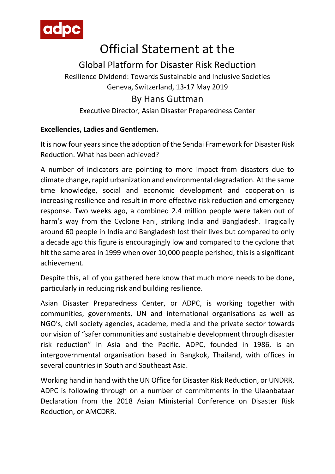

## Official Statement at the

## Global Platform for Disaster Risk Reduction

Resilience Dividend: Towards Sustainable and Inclusive Societies Geneva, Switzerland, 13-17 May 2019

## By Hans Guttman

Executive Director, Asian Disaster Preparedness Center

## **Excellencies, Ladies and Gentlemen.**

It is now four years since the adoption of the Sendai Framework for Disaster Risk Reduction. What has been achieved?

A number of indicators are pointing to more impact from disasters due to climate change, rapid urbanization and environmental degradation. At the same time knowledge, social and economic development and cooperation is increasing resilience and result in more effective risk reduction and emergency response. Two weeks ago, a combined 2.4 million people were taken out of harm's way from the Cyclone Fani, striking India and Bangladesh. Tragically around 60 people in India and Bangladesh lost their lives but compared to only a decade ago this figure is encouragingly low and compared to the cyclone that hit the same area in 1999 when over 10,000 people perished, this is a significant achievement.

Despite this, all of you gathered here know that much more needs to be done, particularly in reducing risk and building resilience.

Asian Disaster Preparedness Center, or ADPC, is working together with communities, governments, UN and international organisations as well as NGO's, civil society agencies, academe, media and the private sector towards our vision of "safer communities and sustainable development through disaster risk reduction" in Asia and the Pacific. ADPC, founded in 1986, is an intergovernmental organisation based in Bangkok, Thailand, with offices in several countries in South and Southeast Asia.

Working hand in hand with the UN Office for Disaster Risk Reduction, or UNDRR, ADPC is following through on a number of commitments in the Ulaanbataar Declaration from the 2018 Asian Ministerial Conference on Disaster Risk Reduction, or AMCDRR.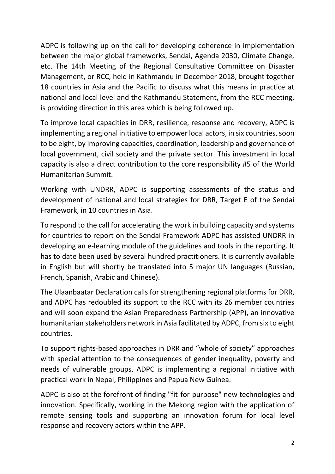ADPC is following up on the call for developing coherence in implementation between the major global frameworks, Sendai, Agenda 2030, Climate Change, etc. The 14th Meeting of the Regional Consultative Committee on Disaster Management, or RCC, held in Kathmandu in December 2018, brought together 18 countries in Asia and the Pacific to discuss what this means in practice at national and local level and the Kathmandu Statement, from the RCC meeting, is providing direction in this area which is being followed up.

To improve local capacities in DRR, resilience, response and recovery, ADPC is implementing a regional initiative to empower local actors, in six countries, soon to be eight, by improving capacities, coordination, leadership and governance of local government, civil society and the private sector. This investment in local capacity is also a direct contribution to the core responsibility #5 of the World Humanitarian Summit.

Working with UNDRR, ADPC is supporting assessments of the status and development of national and local strategies for DRR, Target E of the Sendai Framework, in 10 countries in Asia.

To respond to the call for accelerating the work in building capacity and systems for countries to report on the Sendai Framework ADPC has assisted UNDRR in developing an e-learning module of the guidelines and tools in the reporting. It has to date been used by several hundred practitioners. It is currently available in English but will shortly be translated into 5 major UN languages (Russian, French, Spanish, Arabic and Chinese).

The Ulaanbaatar Declaration calls for strengthening regional platforms for DRR, and ADPC has redoubled its support to the RCC with its 26 member countries and will soon expand the Asian Preparedness Partnership (APP), an innovative humanitarian stakeholders network in Asia facilitated by ADPC, from six to eight countries.

To support rights-based approaches in DRR and "whole of society" approaches with special attention to the consequences of gender inequality, poverty and needs of vulnerable groups, ADPC is implementing a regional initiative with practical work in Nepal, Philippines and Papua New Guinea.

ADPC is also at the forefront of finding "fit-for-purpose" new technologies and innovation. Specifically, working in the Mekong region with the application of remote sensing tools and supporting an innovation forum for local level response and recovery actors within the APP.